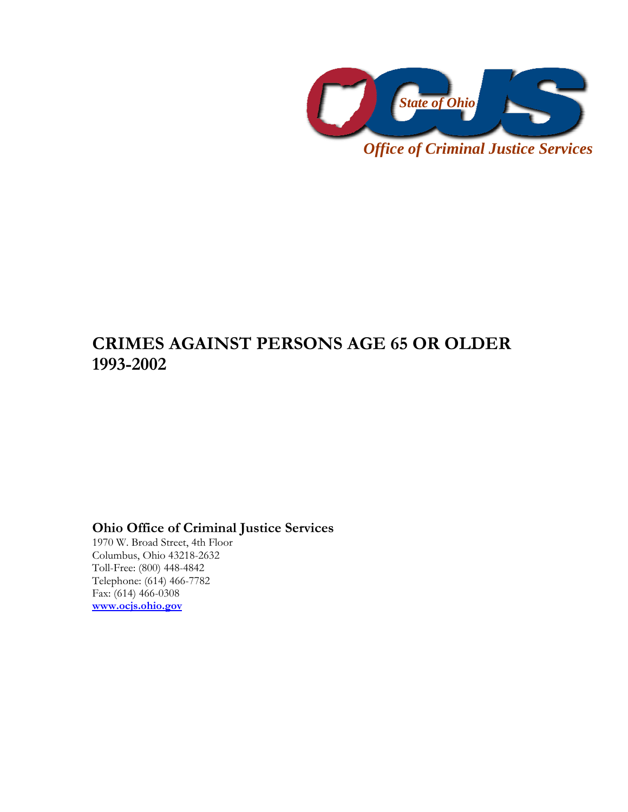

## *Office of Criminal Justice Services*

## **CRIMES AGAINST PERSONS AGE 65 OR OLDER 1993-2002**

## **Ohio Office of Criminal Justice Services**

1970 W. Broad Street, 4th Floor Columbus, Ohio 43218-2632 Toll-Free: (800) 448-4842 Telephone: (614) 466-7782 Fax: (614) 466-0308 **www.ocjs.ohio.gov**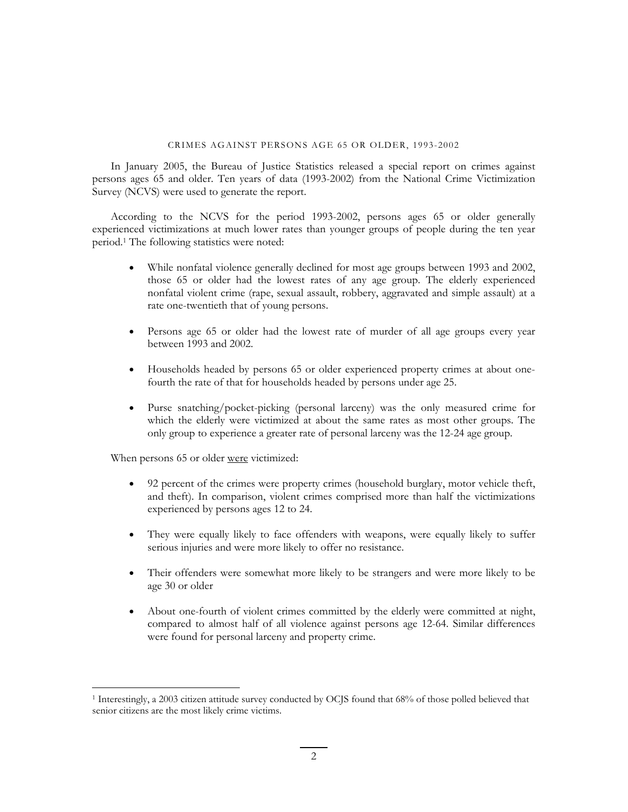## CRIMES AGAINST PERSONS AGE 65 OR OLDER, 1993-2002

In January 2005, the Bureau of Justice Statistics released a special report on crimes against persons ages 65 and older. Ten years of data (1993-2002) from the National Crime Victimization Survey (NCVS) were used to generate the report.

According to the NCVS for the period 1993-2002, persons ages 65 or older generally experienced victimizations at much lower rates than younger groups of people during the ten year period.1 The following statistics were noted:

- While nonfatal violence generally declined for most age groups between 1993 and 2002, those 65 or older had the lowest rates of any age group. The elderly experienced nonfatal violent crime (rape, sexual assault, robbery, aggravated and simple assault) at a rate one-twentieth that of young persons.
- Persons age 65 or older had the lowest rate of murder of all age groups every year between 1993 and 2002.
- Households headed by persons 65 or older experienced property crimes at about onefourth the rate of that for households headed by persons under age 25.
- Purse snatching/pocket-picking (personal larceny) was the only measured crime for which the elderly were victimized at about the same rates as most other groups. The only group to experience a greater rate of personal larceny was the 12-24 age group.

When persons 65 or older were victimized:

 $\overline{a}$ 

- 92 percent of the crimes were property crimes (household burglary, motor vehicle theft, and theft). In comparison, violent crimes comprised more than half the victimizations experienced by persons ages 12 to 24.
- They were equally likely to face offenders with weapons, were equally likely to suffer serious injuries and were more likely to offer no resistance.
- Their offenders were somewhat more likely to be strangers and were more likely to be age 30 or older
- About one-fourth of violent crimes committed by the elderly were committed at night, compared to almost half of all violence against persons age 12-64. Similar differences were found for personal larceny and property crime.

<sup>1</sup> Interestingly, a 2003 citizen attitude survey conducted by OCJS found that 68% of those polled believed that senior citizens are the most likely crime victims.